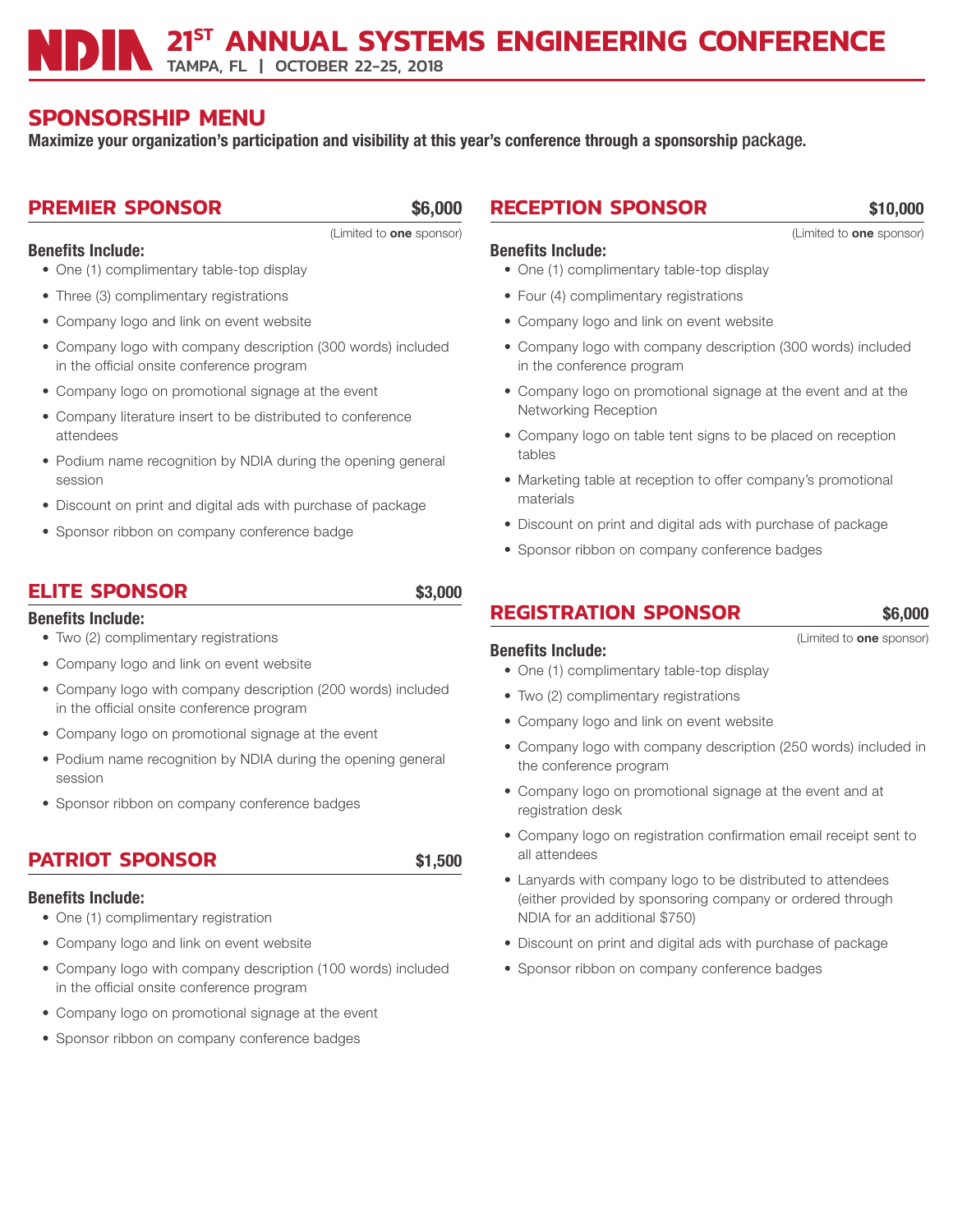TAMPA, FL | OCTOBER 22-25, 2018

# **SPONSORSHIP MENU**

Maximize your organization's participation and visibility at this year's conference through a sponsorship package.

## **PREMIER SPONSOR** \$6,000

Benefits Include:

(Limited to one sponsor)

- One (1) complimentary table-top display
- Three (3) complimentary registrations
- Company logo and link on event website
- Company logo with company description (300 words) included in the official onsite conference program
- Company logo on promotional signage at the event
- Company literature insert to be distributed to conference attendees
- Podium name recognition by NDIA during the opening general session
- Discount on print and digital ads with purchase of package
- Sponsor ribbon on company conference badge

## **ELITE SPONSOR** \$3,000

### Benefits Include:

- Two (2) complimentary registrations
- Company logo and link on event website
- Company logo with company description (200 words) included in the official onsite conference program
- Company logo on promotional signage at the event
- Podium name recognition by NDIA during the opening general session
- Sponsor ribbon on company conference badges

## **PATRIOT SPONSOR** \$1,500

### Benefits Include:

- One (1) complimentary registration
- Company logo and link on event website
- Company logo with company description (100 words) included in the official onsite conference program
- Company logo on promotional signage at the event
- Sponsor ribbon on company conference badges

# **RECEPTION SPONSOR** \$10,000

## Benefits Include:

- One (1) complimentary table-top display
- Four (4) complimentary registrations
- Company logo and link on event website
- Company logo with company description (300 words) included in the conference program
- Company logo on promotional signage at the event and at the Networking Reception
- Company logo on table tent signs to be placed on reception tables
- Marketing table at reception to offer company's promotional materials
- Discount on print and digital ads with purchase of package
- Sponsor ribbon on company conference badges

## **REGISTRATION SPONSOR** \$6,000

Benefits Include:

#### (Limited to one sponsor)

- One (1) complimentary table-top display
- Two (2) complimentary registrations
- Company logo and link on event website
- Company logo with company description (250 words) included in the conference program
- Company logo on promotional signage at the event and at registration desk
- Company logo on registration confirmation email receipt sent to all attendees
- Lanyards with company logo to be distributed to attendees (either provided by sponsoring company or ordered through NDIA for an additional \$750)
- Discount on print and digital ads with purchase of package
- Sponsor ribbon on company conference badges

(Limited to one sponsor)